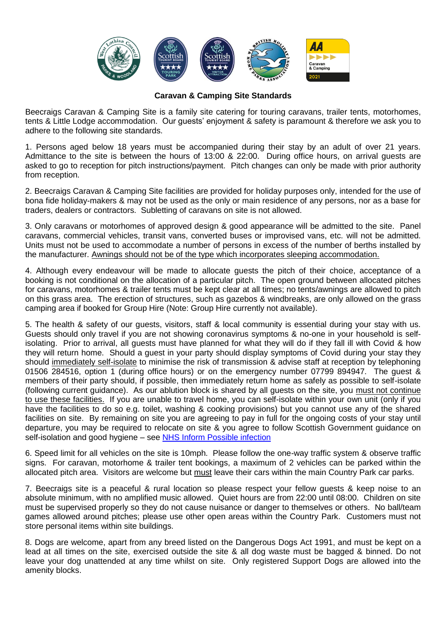

## **Caravan & Camping Site Standards**

Beecraigs Caravan & Camping Site is a family site catering for touring caravans, trailer tents, motorhomes, tents & Little Lodge accommodation. Our guests' enjoyment & safety is paramount & therefore we ask you to adhere to the following site standards.

1. Persons aged below 18 years must be accompanied during their stay by an adult of over 21 years. Admittance to the site is between the hours of 13:00 & 22:00. During office hours, on arrival guests are asked to go to reception for pitch instructions/payment. Pitch changes can only be made with prior authority from reception.

2. Beecraigs Caravan & Camping Site facilities are provided for holiday purposes only, intended for the use of bona fide holiday-makers & may not be used as the only or main residence of any persons, nor as a base for traders, dealers or contractors. Subletting of caravans on site is not allowed.

3. Only caravans or motorhomes of approved design & good appearance will be admitted to the site. Panel caravans, commercial vehicles, transit vans, converted buses or improvised vans, etc. will not be admitted. Units must not be used to accommodate a number of persons in excess of the number of berths installed by the manufacturer. Awnings should not be of the type which incorporates sleeping accommodation.

4. Although every endeavour will be made to allocate guests the pitch of their choice, acceptance of a booking is not conditional on the allocation of a particular pitch. The open ground between allocated pitches for caravans, motorhomes & trailer tents must be kept clear at all times; no tents/awnings are allowed to pitch on this grass area. The erection of structures, such as gazebos & windbreaks, are only allowed on the grass camping area if booked for Group Hire (Note: Group Hire currently not available).

5. The health & safety of our guests, visitors, staff & local community is essential during your stay with us. Guests should only travel if you are not showing coronavirus symptoms & no-one in your household is selfisolating. Prior to arrival, all guests must have planned for what they will do if they fall ill with Covid & how they will return home. Should a guest in your party should display symptoms of Covid during your stay they should immediately self-isolate to minimise the risk of transmission & advise staff at reception by telephoning 01506 284516, option 1 (during office hours) or on the emergency number 07799 894947. The guest & members of their party should, if possible, then immediately return home as safely as possible to self-isolate (following current guidance). As our ablution block is shared by all guests on the site, you must not continue to use these facilities. If you are unable to travel home, you can self-isolate within your own unit (only if you have the facilities to do so e.g. toilet, washing & cooking provisions) but you cannot use any of the shared facilities on site. By remaining on site you are agreeing to pay in full for the ongoing costs of your stay until departure, you may be required to relocate on site & you agree to follow Scottish Government guidance on self-isolation and good hygiene – see [NHS Inform Possible infection](https://www.nhsinform.scot/illnesses-and-conditions/infections-and-poisoning/coronavirus-covid-19/test-and-protect/coronavirus-covid-19-guidance-for-households-with-possible-coronavirus-infection)

6. Speed limit for all vehicles on the site is 10mph. Please follow the one-way traffic system & observe traffic signs. For caravan, motorhome & trailer tent bookings, a maximum of 2 vehicles can be parked within the allocated pitch area. Visitors are welcome but must leave their cars within the main Country Park car parks.

7. Beecraigs site is a peaceful & rural location so please respect your fellow guests & keep noise to an absolute minimum, with no amplified music allowed. Quiet hours are from 22:00 until 08:00. Children on site must be supervised properly so they do not cause nuisance or danger to themselves or others. No ball/team games allowed around pitches; please use other open areas within the Country Park. Customers must not store personal items within site buildings.

8. Dogs are welcome, apart from any breed listed on the Dangerous Dogs Act 1991, and must be kept on a lead at all times on the site, exercised outside the site & all dog waste must be bagged & binned. Do not leave your dog unattended at any time whilst on site. Only registered Support Dogs are allowed into the amenity blocks.